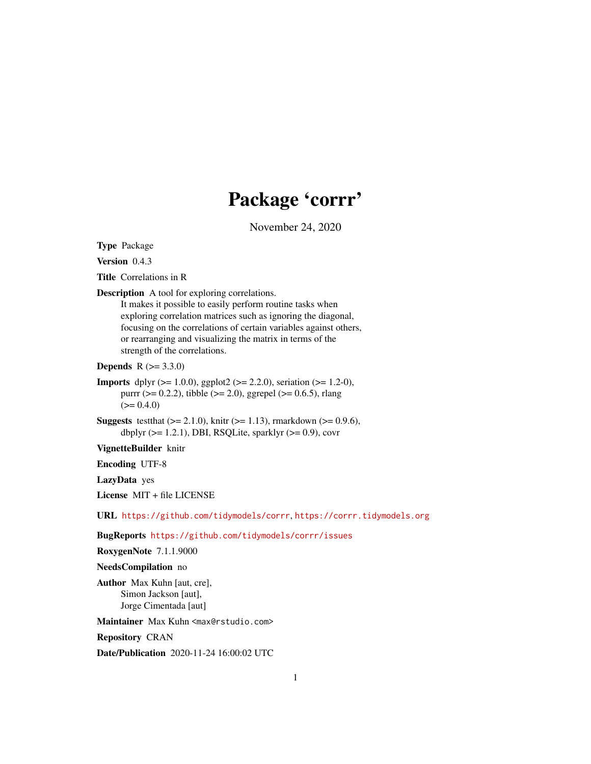# Package 'corrr'

November 24, 2020

<span id="page-0-0"></span>Type Package

Version 0.4.3

Title Correlations in R

Description A tool for exploring correlations.

It makes it possible to easily perform routine tasks when exploring correlation matrices such as ignoring the diagonal, focusing on the correlations of certain variables against others, or rearranging and visualizing the matrix in terms of the strength of the correlations.

**Depends** R  $(>= 3.3.0)$ 

- **Imports** dplyr ( $>= 1.0.0$ ), ggplot2 ( $>= 2.2.0$ ), seriation ( $>= 1.2-0$ ), purrr ( $> = 0.2.2$ ), tibble ( $> = 2.0$ ), ggrepel ( $> = 0.6.5$ ), rlang  $(>= 0.4.0)$
- **Suggests** test that  $(>= 2.1.0)$ , knitr  $(>= 1.13)$ , rmarkdown  $(>= 0.9.6)$ , dbplyr  $(>= 1.2.1)$ , DBI, RSQLite, sparklyr  $(>= 0.9)$ , covr

VignetteBuilder knitr

Encoding UTF-8

LazyData yes

License MIT + file LICENSE

URL <https://github.com/tidymodels/corrr>, <https://corrr.tidymodels.org>

BugReports <https://github.com/tidymodels/corrr/issues>

RoxygenNote 7.1.1.9000

NeedsCompilation no

Author Max Kuhn [aut, cre], Simon Jackson [aut], Jorge Cimentada [aut]

Maintainer Max Kuhn <max@rstudio.com>

Repository CRAN

Date/Publication 2020-11-24 16:00:02 UTC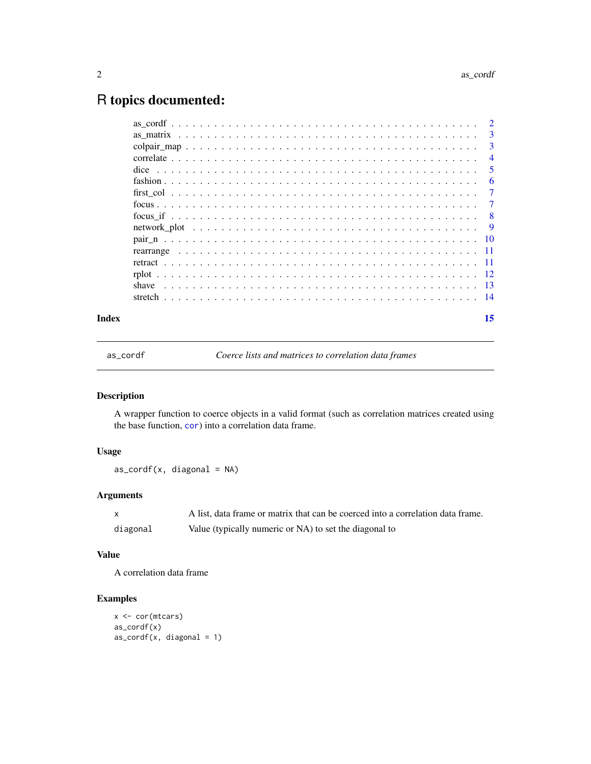## <span id="page-1-0"></span>R topics documented:

| Index | 15             |
|-------|----------------|
|       |                |
|       |                |
|       |                |
|       |                |
|       |                |
|       |                |
|       |                |
|       |                |
|       |                |
|       |                |
|       | -6             |
|       | -5             |
|       | $\overline{4}$ |
|       | 3              |
|       |                |
|       |                |

<span id="page-1-1"></span>as\_cordf *Coerce lists and matrices to correlation data frames*

#### Description

A wrapper function to coerce objects in a valid format (such as correlation matrices created using the base function, [cor](#page-0-0)) into a correlation data frame.

#### Usage

 $as\_cordf(x, diagonal = NA)$ 

#### Arguments

|          | A list, data frame or matrix that can be coerced into a correlation data frame. |
|----------|---------------------------------------------------------------------------------|
| diagonal | Value (typically numeric or NA) to set the diagonal to                          |

#### Value

A correlation data frame

#### Examples

```
x <- cor(mtcars)
as_cordf(x)
as\_cordf(x, diagonal = 1)
```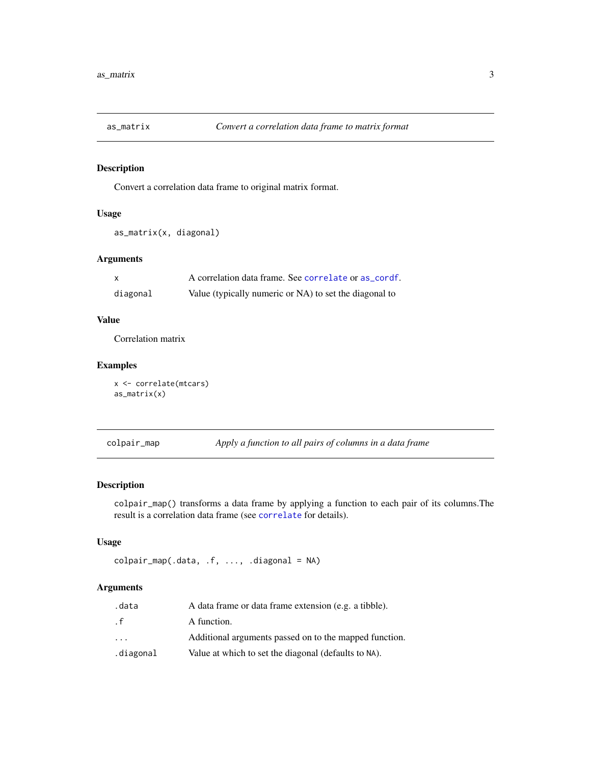<span id="page-2-0"></span>

#### Description

Convert a correlation data frame to original matrix format.

#### Usage

```
as_matrix(x, diagonal)
```
#### Arguments

| X        | A correlation data frame. See correlate or as cordf.   |
|----------|--------------------------------------------------------|
| diagonal | Value (typically numeric or NA) to set the diagonal to |

#### Value

Correlation matrix

### Examples

```
x <- correlate(mtcars)
as_matrix(x)
```
colpair\_map *Apply a function to all pairs of columns in a data frame*

#### Description

colpair\_map() transforms a data frame by applying a function to each pair of its columns.The result is a correlation data frame (see [correlate](#page-3-1) for details).

#### Usage

colpair\_map(.data, .f, ..., .diagonal = NA)

| .data                   | A data frame or data frame extension (e.g. a tibble).  |
|-------------------------|--------------------------------------------------------|
| . f                     | A function.                                            |
| $\cdot$ $\cdot$ $\cdot$ | Additional arguments passed on to the mapped function. |
| .diagonal               | Value at which to set the diagonal (defaults to NA).   |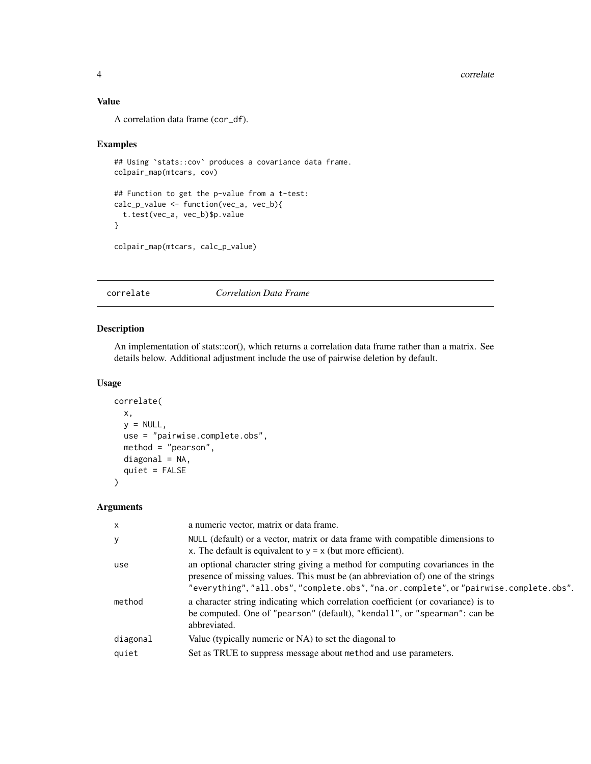#### <span id="page-3-0"></span>4 correlate that the correlate correlate the correlate correlate correlate that  $\sim$  correlate

#### Value

A correlation data frame (cor\_df).

#### Examples

```
## Using `stats::cov` produces a covariance data frame.
colpair_map(mtcars, cov)
## Function to get the p-value from a t-test:
calc_p_value <- function(vec_a, vec_b){
  t.test(vec_a, vec_b)$p.value
}
```
colpair\_map(mtcars, calc\_p\_value)

#### <span id="page-3-1"></span>correlate *Correlation Data Frame*

#### Description

An implementation of stats::cor(), which returns a correlation data frame rather than a matrix. See details below. Additional adjustment include the use of pairwise deletion by default.

#### Usage

```
correlate(
  x,
 y = NULL,use = "pairwise.complete.obs",
 method = "pearson",
  diagonal = NA,
  quiet = FALSE\lambda
```

| $\mathsf{x}$      | a numeric vector, matrix or data frame.                                                                                                                                                                                                                     |
|-------------------|-------------------------------------------------------------------------------------------------------------------------------------------------------------------------------------------------------------------------------------------------------------|
| y                 | NULL (default) or a vector, matrix or data frame with compatible dimensions to<br>x. The default is equivalent to $y = x$ (but more efficient).                                                                                                             |
| use               | an optional character string giving a method for computing covariances in the<br>presence of missing values. This must be (an abbreviation of) one of the strings<br>"everything", "all.obs", "complete.obs", "na.or.complete", or "pairwise.complete.obs". |
| method            | a character string indicating which correlation coefficient (or covariance) is to<br>be computed. One of "pearson" (default), "kendall", or "spearman": can be<br>abbreviated.                                                                              |
| diagonal<br>quiet | Value (typically numeric or NA) to set the diagonal to<br>Set as TRUE to suppress message about method and use parameters.                                                                                                                                  |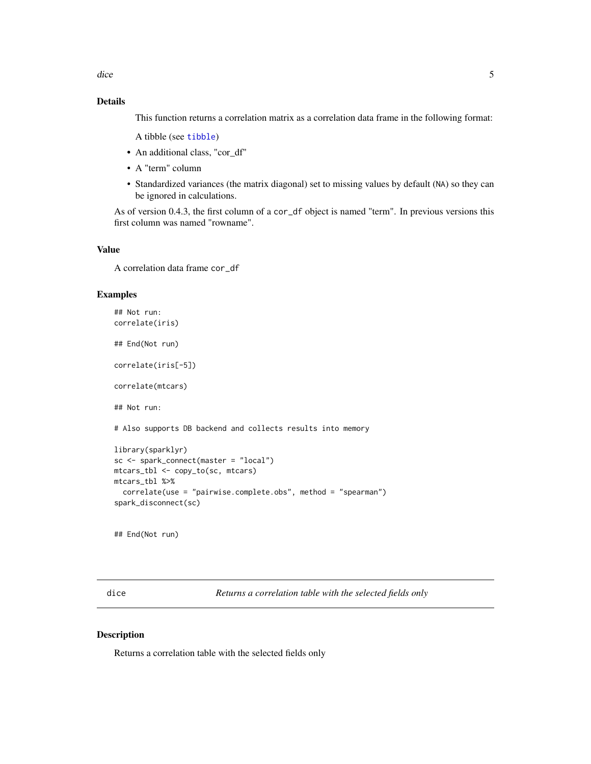<span id="page-4-0"></span>dice 5

#### Details

This function returns a correlation matrix as a correlation data frame in the following format:

A tibble (see [tibble](#page-0-0))

- An additional class, "cor\_df"
- A "term" column
- Standardized variances (the matrix diagonal) set to missing values by default (NA) so they can be ignored in calculations.

As of version 0.4.3, the first column of a cor\_df object is named "term". In previous versions this first column was named "rowname".

#### Value

A correlation data frame cor\_df

#### Examples

```
## Not run:
correlate(iris)
## End(Not run)
correlate(iris[-5])
correlate(mtcars)
## Not run:
# Also supports DB backend and collects results into memory
library(sparklyr)
sc <- spark_connect(master = "local")
mtcars_tbl <- copy_to(sc, mtcars)
mtcars_tbl %>%
  correlate(use = "pairwise.complete.obs", method = "spearman")
spark_disconnect(sc)
```
## End(Not run)

dice *Returns a correlation table with the selected fields only*

#### Description

Returns a correlation table with the selected fields only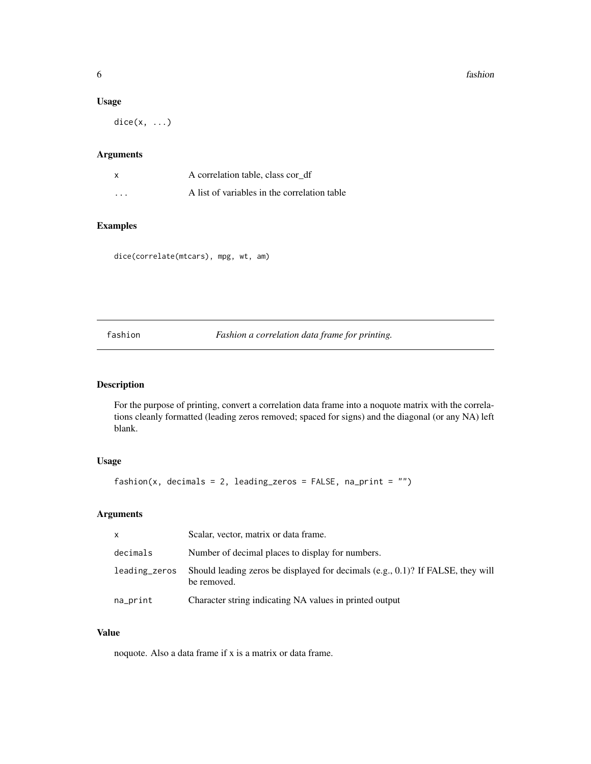#### <span id="page-5-0"></span>Usage

dice(x, ...)

#### Arguments

|                         | A correlation table, class cord f            |
|-------------------------|----------------------------------------------|
| $\cdot$ $\cdot$ $\cdot$ | A list of variables in the correlation table |

#### Examples

dice(correlate(mtcars), mpg, wt, am)

fashion *Fashion a correlation data frame for printing.*

#### Description

For the purpose of printing, convert a correlation data frame into a noquote matrix with the correlations cleanly formatted (leading zeros removed; spaced for signs) and the diagonal (or any NA) left blank.

#### Usage

 $fashion(x, decimals = 2, leading\_zeros = FALSE, na\_print = "")$ 

#### Arguments

| X             | Scalar, vector, matrix or data frame.                                                              |
|---------------|----------------------------------------------------------------------------------------------------|
| decimals      | Number of decimal places to display for numbers.                                                   |
| leading_zeros | Should leading zeros be displayed for decimals (e.g., $(0.1)$ ? If FALSE, they will<br>be removed. |
| na_print      | Character string indicating NA values in printed output                                            |

#### Value

noquote. Also a data frame if x is a matrix or data frame.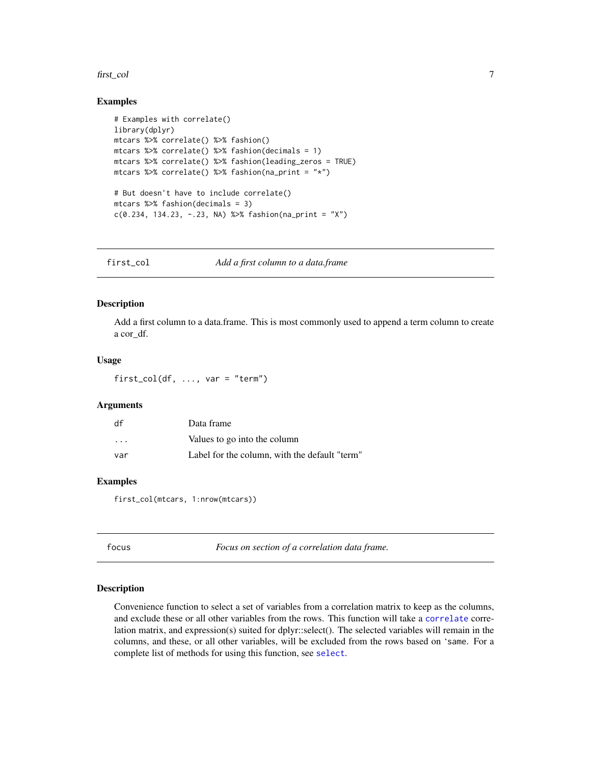#### <span id="page-6-0"></span>first\_col 7

#### Examples

```
# Examples with correlate()
library(dplyr)
mtcars %>% correlate() %>% fashion()
mtcars %>% correlate() %>% fashion(decimals = 1)
mtcars %>% correlate() %>% fashion(leading_zeros = TRUE)
mtcars %>% correlate() %>% fashion(na_print = "*")
# But doesn't have to include correlate()
mtcars %>% fashion(decimals = 3)
c(0.234, 134.23, -.23, NA) %>% fashion(na_print = "X")
```
first\_col *Add a first column to a data.frame*

#### Description

Add a first column to a data.frame. This is most commonly used to append a term column to create a cor\_df.

#### Usage

first\_col(df, ..., var = "term")

#### Arguments

| df                      | Data frame                                    |
|-------------------------|-----------------------------------------------|
| $\cdot$ $\cdot$ $\cdot$ | Values to go into the column                  |
| var                     | Label for the column, with the default "term" |

#### Examples

first\_col(mtcars, 1:nrow(mtcars))

<span id="page-6-1"></span>

| focus | Focus on section of a correlation data frame. |
|-------|-----------------------------------------------|
|       |                                               |

#### Description

Convenience function to select a set of variables from a correlation matrix to keep as the columns, and exclude these or all other variables from the rows. This function will take a [correlate](#page-3-1) correlation matrix, and expression(s) suited for dplyr::select(). The selected variables will remain in the columns, and these, or all other variables, will be excluded from the rows based on 'same. For a complete list of methods for using this function, see [select](#page-0-0).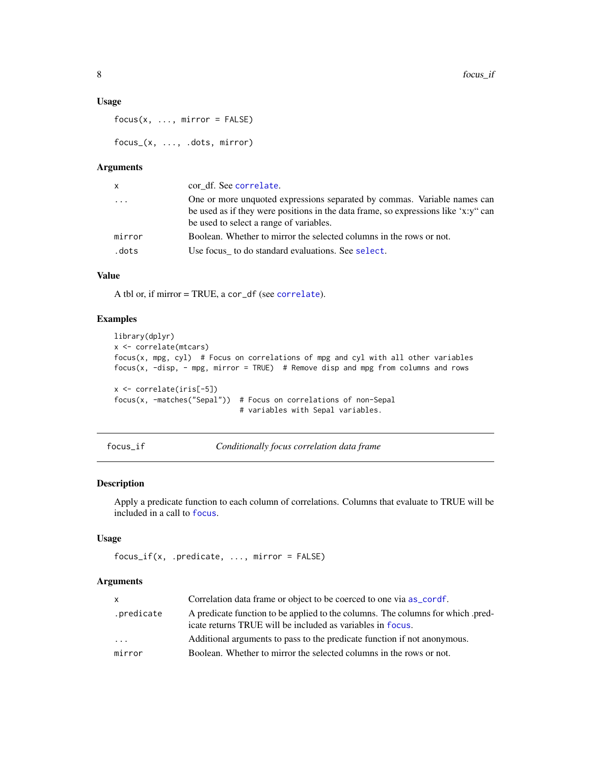#### <span id="page-7-0"></span>Usage

```
focus(x, ..., mirror = FALSE)
```
focus\_(x, ..., .dots, mirror)

#### Arguments

| <b>X</b> | cor df. See correlate.                                                             |
|----------|------------------------------------------------------------------------------------|
| $\ddots$ | One or more unquoted expressions separated by commas. Variable names can           |
|          | be used as if they were positions in the data frame, so expressions like 'x:y" can |
|          | be used to select a range of variables.                                            |
| mirror   | Boolean. Whether to mirror the selected columns in the rows or not.                |
| .dots    | Use focus to do standard evaluations. See select.                                  |
|          |                                                                                    |

### Value

A tbl or, if mirror = TRUE, a cor\_df (see [correlate](#page-3-1)).

#### Examples

```
library(dplyr)
x <- correlate(mtcars)
focus(x, mpg, cyl) # Focus on correlations of mpg and cyl with all other variables
focus(x, -disp, - mpg, mirror = TRUE) # Remove disp and mpg from columns and rows
x <- correlate(iris[-5])
focus(x, -matches("Sepal")) # Focus on correlations of non-Sepal
                             # variables with Sepal variables.
```
focus\_if *Conditionally focus correlation data frame*

#### Description

Apply a predicate function to each column of correlations. Columns that evaluate to TRUE will be included in a call to [focus](#page-6-1).

#### Usage

```
focus_if(x, .predicate, ..., mirror = FALSE)
```

| X.                      | Correlation data frame or object to be coerced to one via as_cordf.                                                                          |
|-------------------------|----------------------------------------------------------------------------------------------------------------------------------------------|
| .predicate              | A predicate function to be applied to the columns. The columns for which pred-<br>icate returns TRUE will be included as variables in focus. |
| $\cdot$ $\cdot$ $\cdot$ | Additional arguments to pass to the predicate function if not anonymous.                                                                     |
| mirror                  | Boolean. Whether to mirror the selected columns in the rows or not.                                                                          |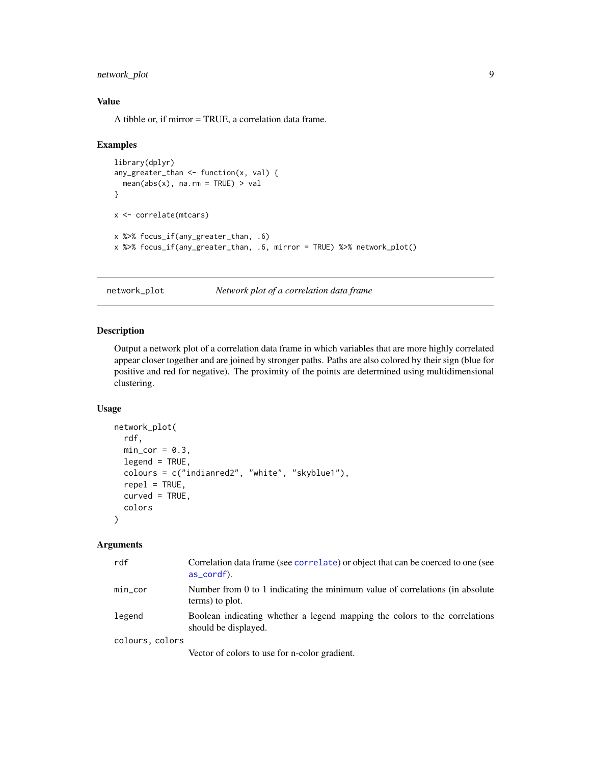#### <span id="page-8-0"></span>network\_plot 9

#### Value

A tibble or, if mirror = TRUE, a correlation data frame.

#### Examples

```
library(dplyr)
any_greater_than <- function(x, val) {
  mean(abs(x), na.rm = TRUE) > val}
x <- correlate(mtcars)
x %>% focus_if(any_greater_than, .6)
x %>% focus_if(any_greater_than, .6, mirror = TRUE) %>% network_plot()
```
network\_plot *Network plot of a correlation data frame*

#### Description

Output a network plot of a correlation data frame in which variables that are more highly correlated appear closer together and are joined by stronger paths. Paths are also colored by their sign (blue for positive and red for negative). The proximity of the points are determined using multidimensional clustering.

#### Usage

```
network_plot(
  rdf,
 min\_cor = 0.3,
  legend = TRUE,
  colours = c("indianred2", "white", "skyblue1"),
  repel = TRUE,
  curved = TRUE,
  colors
)
```

| rdf             | Correlation data frame (see correlate) or object that can be coerced to one (see<br>as_cordf).     |
|-----------------|----------------------------------------------------------------------------------------------------|
| $min\_cor$      | Number from 0 to 1 indicating the minimum value of correlations (in absolute<br>terms) to plot.    |
| legend          | Boolean indicating whether a legend mapping the colors to the correlations<br>should be displayed. |
| colours, colors |                                                                                                    |
|                 | Vector of colors to use for n-color gradient.                                                      |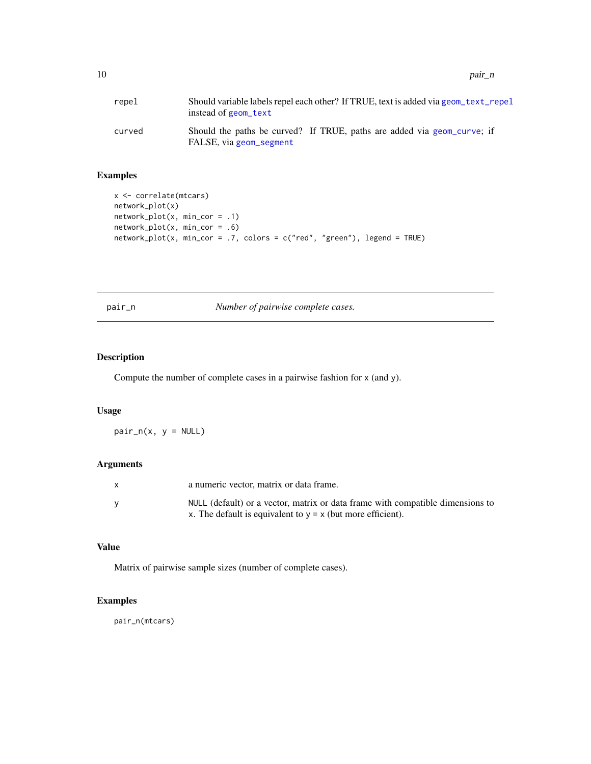<span id="page-9-0"></span>

| repel  | Should variable labels repel each other? If TRUE, text is added via geom text repel<br>instead of geom_text |
|--------|-------------------------------------------------------------------------------------------------------------|
| curved | Should the paths be curved? If TRUE, paths are added via geom curve; if<br>FALSE, via geom_segment          |

#### Examples

```
x <- correlate(mtcars)
network_plot(x)
network_plot(x, min_cor = .1)
network_plot(x, min_cor = .6)
network_plot(x, min_cor = .7, colors = c("red", "green"), legend = TRUE)
```
pair\_n *Number of pairwise complete cases.*

### Description

Compute the number of complete cases in a pairwise fashion for x (and y).

#### Usage

 $pair_n(x, y = NULL)$ 

#### Arguments

| X | a numeric vector, matrix or data frame.                                        |
|---|--------------------------------------------------------------------------------|
|   | NULL (default) or a vector, matrix or data frame with compatible dimensions to |
|   | x. The default is equivalent to $y = x$ (but more efficient).                  |

#### Value

Matrix of pairwise sample sizes (number of complete cases).

#### Examples

pair\_n(mtcars)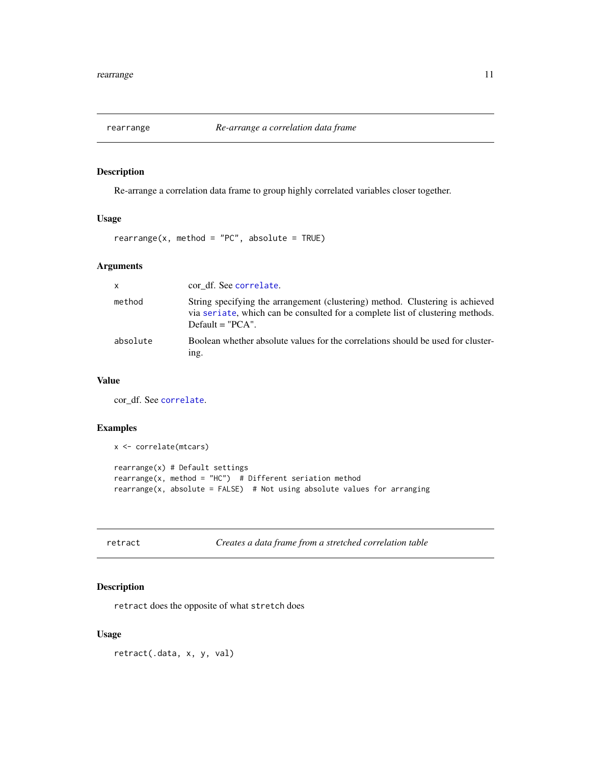<span id="page-10-0"></span>

#### Description

Re-arrange a correlation data frame to group highly correlated variables closer together.

### Usage

 $rearrange(x, method = "PC", absolute = TRUE)$ 

#### Arguments

| <b>X</b> | cor df. See correlate.                                                                                                                                                                |
|----------|---------------------------------------------------------------------------------------------------------------------------------------------------------------------------------------|
| method   | String specifying the arrangement (clustering) method. Clustering is achieved<br>via seriate, which can be consulted for a complete list of clustering methods.<br>$Default = "PCA".$ |
| absolute | Boolean whether absolute values for the correlations should be used for cluster-<br>ing.                                                                                              |

#### Value

cor\_df. See [correlate](#page-3-1).

#### Examples

```
x <- correlate(mtcars)
rearrange(x) # Default settings
rearrange(x, method = "HC") # Different seriation method
rearrange(x, absolute = FALSE) # Not using absolute values for arranging
```

| retract |  |
|---------|--|
|---------|--|

Creates a data frame from a stretched correlation table

#### Description

retract does the opposite of what stretch does

#### Usage

retract(.data, x, y, val)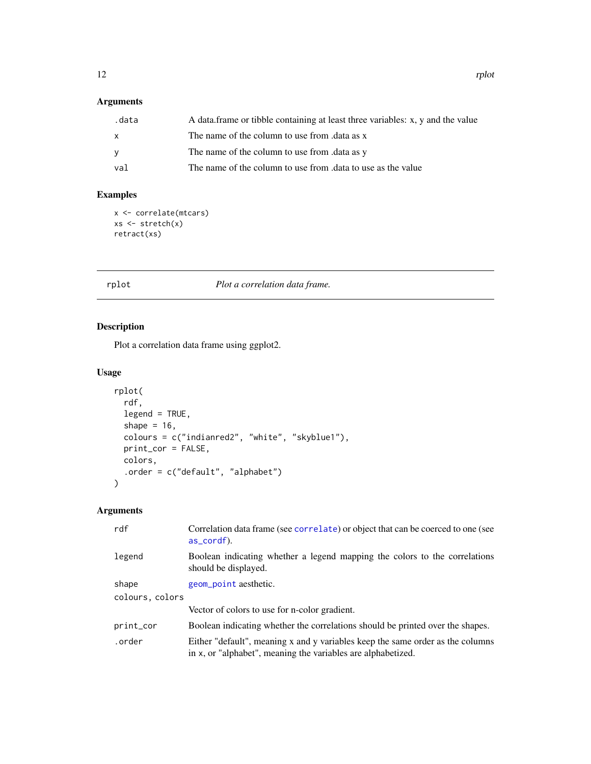### <span id="page-11-0"></span>Arguments

| .data        | A data frame or tibble containing at least three variables: x, y and the value |
|--------------|--------------------------------------------------------------------------------|
| $\mathsf{x}$ | The name of the column to use from data as x                                   |
| <b>V</b>     | The name of the column to use from .data as y                                  |
| val          | The name of the column to use from .data to use as the value                   |

#### Examples

```
x <- correlate(mtcars)
xs <- stretch(x)
retract(xs)
```
#### rplot *Plot a correlation data frame.*

#### Description

Plot a correlation data frame using ggplot2.

#### Usage

```
rplot(
  rdf,
  legend = TRUE,
  shape = 16,
 colours = c("indianred2", "white", "skyblue1"),
 print_cor = FALSE,
 colors,
  .order = c("default", "alphabet")
)
```

| rdf             | Correlation data frame (see correlate) or object that can be coerced to one (see<br>as_cordf).                                                 |
|-----------------|------------------------------------------------------------------------------------------------------------------------------------------------|
| legend          | Boolean indicating whether a legend mapping the colors to the correlations<br>should be displayed.                                             |
| shape           | geom_point aesthetic.                                                                                                                          |
| colours, colors |                                                                                                                                                |
|                 | Vector of colors to use for n-color gradient.                                                                                                  |
| print_cor       | Boolean indicating whether the correlations should be printed over the shapes.                                                                 |
| .order          | Either "default", meaning x and y variables keep the same order as the columns<br>in x, or "alphabet", meaning the variables are alphabetized. |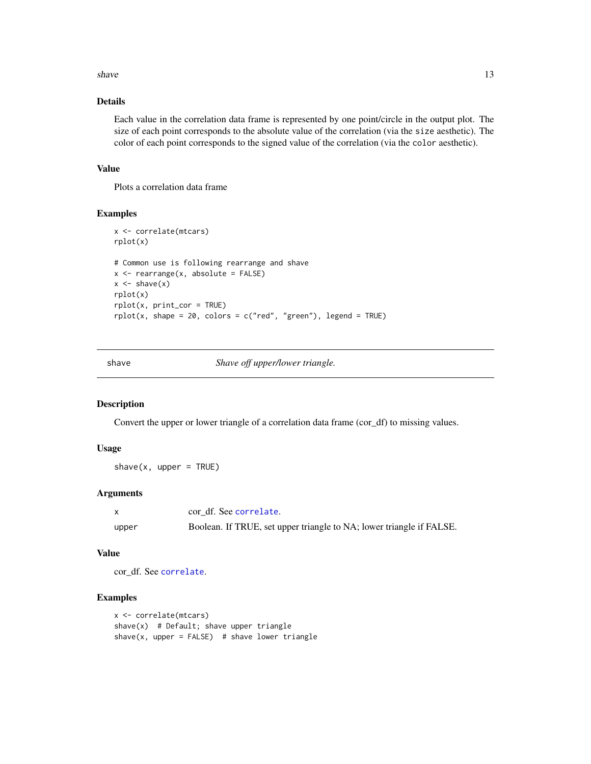#### <span id="page-12-0"></span>shave  $\frac{13}{2}$

#### Details

Each value in the correlation data frame is represented by one point/circle in the output plot. The size of each point corresponds to the absolute value of the correlation (via the size aesthetic). The color of each point corresponds to the signed value of the correlation (via the color aesthetic).

#### Value

Plots a correlation data frame

#### Examples

```
x <- correlate(mtcars)
rplot(x)
# Common use is following rearrange and shave
x <- rearrange(x, absolute = FALSE)
x \leftarrow shave(x)rplot(x)
rplot(x, print_cor = TRUE)
rplot(x, shape = 20, colors = c("red", "green"), legend = TRUE)
```
shave *Shave off upper/lower triangle.*

#### Description

Convert the upper or lower triangle of a correlation data frame (cor\_df) to missing values.

#### Usage

 $shape(x, upper = TRUE)$ 

#### Arguments

|       | cor df. See correlate.                                               |
|-------|----------------------------------------------------------------------|
| upper | Boolean. If TRUE, set upper triangle to NA; lower triangle if FALSE. |

#### Value

cor\_df. See [correlate](#page-3-1).

#### Examples

```
x <- correlate(mtcars)
shave(x) # Default; shave upper triangle
shave(x, upper = FALSE) # shave lower triangle
```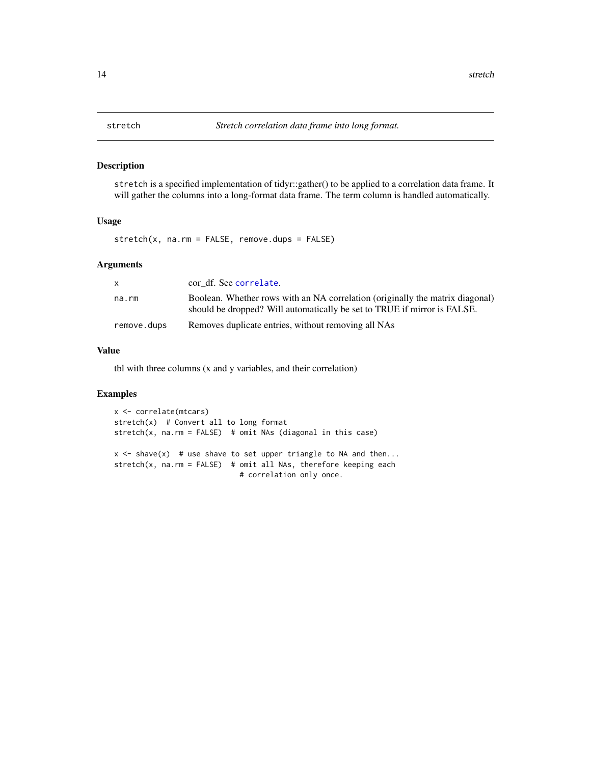#### Description

stretch is a specified implementation of tidyr::gather() to be applied to a correlation data frame. It will gather the columns into a long-format data frame. The term column is handled automatically.

#### Usage

stretch(x, na.rm = FALSE, remove.dups = FALSE)

#### Arguments

| X           | cor df. See correlate.                                                                                                                                    |
|-------------|-----------------------------------------------------------------------------------------------------------------------------------------------------------|
| na.rm       | Boolean. Whether rows with an NA correlation (originally the matrix diagonal)<br>should be dropped? Will automatically be set to TRUE if mirror is FALSE. |
| remove.dups | Removes duplicate entries, without removing all NAs                                                                                                       |

#### Value

tbl with three columns (x and y variables, and their correlation)

#### Examples

```
x <- correlate(mtcars)
stretch(x) # Convert all to long format
stretch(x, na.rm = FALSE) # omit NAs (diagonal in this case)
```
 $x \leq -$  shave(x) # use shave to set upper triangle to NA and then... stretch(x, na.rm = FALSE) # omit all NAs, therefore keeping each # correlation only once.